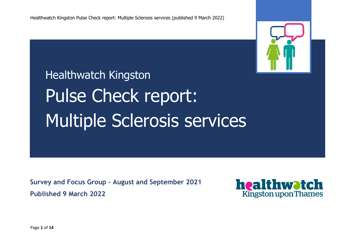

Healthwatch Kingston Pulse Check report: Multiple Sclerosis services

**Survey and Focus Group – August and September 2021 Published 9 March 2022**



Page **1** of **14**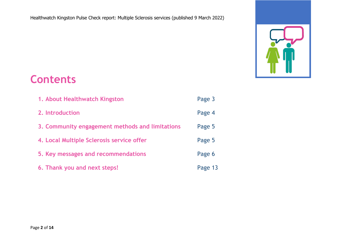

# **Contents**

| 1. About Healthwatch Kingston                   | Page 3  |
|-------------------------------------------------|---------|
| 2. Introduction                                 | Page 4  |
| 3. Community engagement methods and limitations | Page 5  |
| 4. Local Multiple Sclerosis service offer       | Page 5  |
| 5. Key messages and recommendations             | Page 6  |
| 6. Thank you and next steps!                    | Page 13 |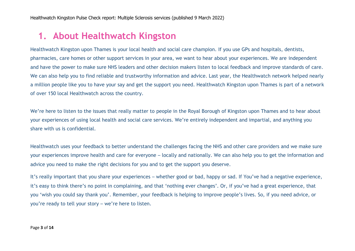## **1. About Healthwatch Kingston**

Healthwatch Kingston upon Thames is your local health and social care champion. If you use GPs and hospitals, dentists, pharmacies, care homes or other support services in your area, we want to hear about your experiences. We are independent and have the power to make sure NHS leaders and other decision makers listen to local feedback and improve standards of care. We can also help you to find reliable and trustworthy information and advice. Last year, the Healthwatch network helped nearly a million people like you to have your say and get the support you need. Healthwatch Kingston upon Thames is part of a network of over 150 local Healthwatch across the country.

We're here to listen to the issues that really matter to people in the Royal Borough of Kingston upon Thames and to hear about your experiences of using local health and social care services. We're entirely independent and impartial, and anything you share with us is confidential.

Healthwatch uses your feedback to better understand the challenges facing the NHS and other care providers and we make sure your experiences improve health and care for everyone – locally and nationally. We can also help you to get the information and advice you need to make the right decisions for you and to get the support you deserve.

It's really important that you share your experiences – whether good or bad, happy or sad. If You've had a negative experience, it's easy to think there's no point in complaining, and that 'nothing ever changes'. Or, if you've had a great experience, that you 'wish you could say thank you'. Remember, your feedback is helping to improve people's lives. So, if you need advice, or you're ready to tell your story – we're here to listen.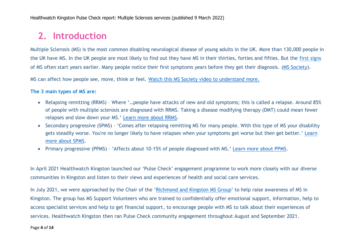# **2. Introduction**

Multiple Sclerosis (MS) is the most common disabling neurological disease of young adults in the UK. More than 130,000 people in the UK have MS. In the UK people are most likely to find out they have MS in their thirties, forties and fifties. But the [first signs](https://www.mssociety.org.uk/about-ms/signs-and-symptoms/early-signs-of-ms) [of MS](https://www.mssociety.org.uk/about-ms/signs-and-symptoms/early-signs-of-ms) often start years earlier. Many people notice their first symptoms years before they get their diagnosis. [\(MS Society\)](https://www.mssociety.org.uk/).

MS can affect how people see, move, think or feel. [Watch this MS Society video to understand more.](https://www.youtube.com/watch?reload=9&time_continue=126&v=RaSD7FnsSDs&feature=emb_logo)

#### **The 3 main types of MS are:**

- Relapsing remitting (RRMS) Where '…people have attacks of new and old symptoms; this is called a relapse. Around 85% of people with multiple sclerosis are diagnosed with RRMS. Taking a disease modifying therapy (DMT) could mean fewer relapses and slow down your MS.' Learn [more about RRMS.](https://www.mssociety.org.uk/about-ms/types-of-ms/relapsing-remitting-ms)
- Secondary progressive (SPMS) 'Comes after relapsing remitting MS for many people. With this type of MS your disability gets steadily worse. You're no longer likely to have relapses when your symptoms get worse but then get better.' [Learn](https://www.mssociety.org.uk/about-ms/types-of-ms/secondary-progressive-ms)  [more about SPMS.](https://www.mssociety.org.uk/about-ms/types-of-ms/secondary-progressive-ms)
- Primary progressive (PPMS) 'Affects about 10-15% of people diagnosed with MS.' [Learn more about PPMS.](https://www.mssociety.org.uk/about-ms/types-of-ms/primary-progressive-ms)

In April 2021 Healthwatch Kingston launched our 'Pulse Check' engagement programme to work more closely with our diverse communities in Kingston and listen to their views and experiences of health and social care services.

In July 2021, we were approached by the Chair of the '[Richmond and Kingston MS Group](https://www.mssociety.org.uk/care-and-support/local-support/local-groups/richmond-and-kingston-group/ms-support-richmond-and-kingston-group)' to help raise awareness of MS in Kingston. The group has MS Support Volunteers who are trained to confidentially offer emotional support, information, help to access specialist services and help to get financial support, to encourage people with MS to talk about their experiences of services. Healthwatch Kingston then ran Pulse Check community engagement throughout August and September 2021.

#### Page **4** of **14**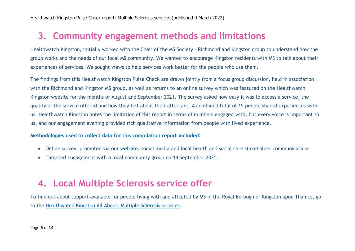### **3. Community engagement methods and limitations**

Healthwatch Kingston, initially worked with the Chair of the MS Society – Richmond and Kingston group to understand how the group works and the needs of our local MS community. We wanted to encourage Kingston residents with MS to talk about their experiences of services. We sought views to help services work better for the people who use them.

The findings from this Healthwatch Kingston Pulse Check are drawn jointly from a focus group discussion, held in association with the Richmond and Kingston MS group, as well as returns to an online survey which was featured on the Healthwatch Kingston website for the months of August and September 2021. The survey asked how easy it was to access a service, the quality of the service offered and how they felt about their aftercare. A combined total of 15 people shared experiences with us. Healthwatch Kingston notes the limitation of this report in terms of numbers engaged with, but every voice is important to us, and our engagement evening provided rich qualitative information from people with lived experience.

#### **Methodologies used to collect data for this compilation report included:**

- Online survey, promoted via our [website,](http://www.healthwatchkingston.org.uk/) social media and local health and social care stakeholder communications
- Targeted engagement with a local community group on 14 September 2021.

### **4. Local Multiple Sclerosis service offer**

To find out about support available for people living with and affected by MS in the Royal Borough of Kingston upon Thames, go to the [Healthwatch Kingston All About: Multiple Sclerosis](https://www.healthwatchkingston.org.uk/advice-and-information/2022-03-06/all-about-multiple-sclerosis-services) services.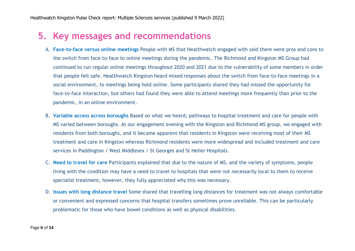### **5. Key messages and recommendations**

- A. **Face-to-face versus online meetings** People with MS that Healthwatch engaged with said there were pros and cons to the switch from face-to-face to online meetings during the pandemic. The Richmond and Kingston MS Group had continued to run regular online meetings throughout 2020 and 2021 due to the vulnerability of some members in order that people felt safe. Healthwatch Kingston heard mixed responses about the switch from face-to-face meetings in a social environment, to meetings being held online. Some participants shared they had missed the opportunity for face-to-face interaction, but others had found they were able to attend meetings more frequently than prior to the pandemic, in an online environment.
- B. **Variable access across boroughs** Based on what we heard, pathways to hospital treatment and care for people with MS varied between boroughs. At our engagement evening with the Kingston and Richmond MS group, we engaged with residents from both boroughs, and it became apparent that residents in Kingston were receiving most of their MS treatment and care in Kingston whereas Richmond residents were more widespread and included treatment and care services in Paddington / West Middlesex / St Georges and St Helier Hospitals.
- C. **Need to travel for care** Participants explained that due to the nature of MS, and the variety of symptoms, people living with the condition may have a need to travel to hospitals that were not necessarily local to them to receive specialist treatment, however, they fully appreciated why this was necessary.
- D. **Issues with long distance travel** Some shared that travelling long distances for treatment was not always comfortable or convenient and expressed concerns that hospital transfers sometimes prove unreliable. This can be particularly problematic for those who have bowel conditions as well as physical disabilities.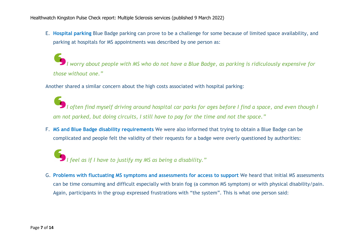E. **Hospital parking** Blue Badge parking can prove to be a challenge for some because of limited space availability, and parking at hospitals for MS appointments was described by one person as:

*I worry about people with MS who do not have a Blue Badge, as parking is ridiculously expensive for those without one."*

Another shared a similar concern about the high costs associated with hospital parking:

*I often find myself driving around hospital car parks for ages before I find a space, and even though I am not parked, but doing circuits, I still have to pay for the time and not the space."*

F. **MS and Blue Badge disability requirements** We were also informed that trying to obtain a Blue Badge can be complicated and people felt the validity of their requests for a badge were overly questioned by authorities:

*I feel as if I have to justify my MS as being a disability."*

G. **Problems with fluctuating MS symptoms and assessments for access to support** We heard that initial MS assessments can be time consuming and difficult especially with brain fog (a common MS symptom) or with physical disability/pain. Again, participants in the group expressed frustrations with "the system". This is what one person said: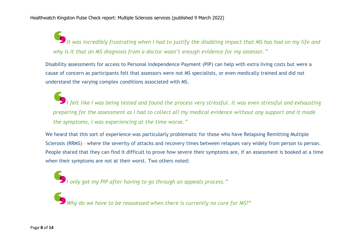*It was incredibly frustrating when I had to justify the disabling impact that MS has had on my life and why is it that an MS diagnosis from a doctor wasn't enough evidence for my assessor."*

Disability assessments for access to Personal Independence Payment (PIP) can help with extra living costs but were a cause of concern as participants felt that assessors were not MS specialists, or even medically trained and did not understand the varying complex conditions associated with MS.

*I felt like I was being tested and found the process very stressful. It was even stressful and exhausting preparing for the assessment as I had to collect all my medical evidence without any support and it made the symptoms, I was experiencing at the time worse."*

We heard that this sort of experience was particularly problematic for those who have Relapsing Remitting Multiple Sclerosis (RRMS) – where the severity of attacks and recovery times between relapses vary widely from person to person. People shared that they can find it difficult to prove how severe their symptoms are, if an assessment is booked at a time when their symptoms are not at their worst. Two others noted:

*I only got my PIP after having to go through an appeals process."*

*Why do we have to be reassessed when there is currently no cure for MS?"*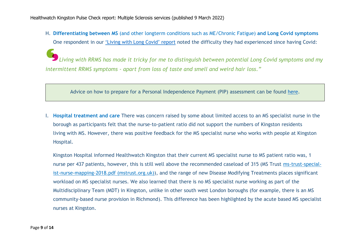Healthwatch Kingston Pulse Check report: Multiple Sclerosis services (published 9 March 2022)

H. **Differentiating between MS** (and other longterm conditions such as ME/Chronic Fatigue) **and Long Covid symptoms** One respondent in our ['Living with Long Covid' report](https://www.healthwatchkingston.org.uk/report/2022-02-28/living-long-covid-royal-borough-kingston-upon-thames) noted the difficulty they had experienced since having Covid:

*Living with RRMS has made it tricky for me to distinguish between potential Long Covid symptoms and my intermittent RRMS symptoms - apart from loss of taste and smell and weird hair loss."*

Advice on how to prepare for a Personal Independence Payment (PIP) assessment can be found [here.](https://www.citizensadvice.org.uk/benefits/sick-or-disabled-people-and-%20%20carers/pip/help-with-your-claim/your-assessment/)

I. **Hospital treatment and care** There was concern raised by some about limited access to an MS specialist nurse in the borough as participants felt that the nurse-to-patient ratio did not support the numbers of Kingston residents living with MS. However, there was positive feedback for the MS specialist nurse who works with people at Kingston Hospital.

Kingston Hospital informed Healthwatch Kingston that their current MS specialist nurse to MS patient ratio was, 1 nurse per 437 patients, however, this is still well above the recommended caseload of 315 (MS Trust [ms-trust-special](https://mstrust.org.uk/sites/default/files/ms-trust-specialist-nurse-mapping-2018.pdf)[ist-nurse-mapping-2018.pdf \(mstrust.org.uk\)\)](https://mstrust.org.uk/sites/default/files/ms-trust-specialist-nurse-mapping-2018.pdf), and the range of new Disease Modifying Treatments places significant workload on MS specialist nurses. We also learned that there is no MS specialist nurse working as part of the Multidisciplinary Team (MDT) in Kingston, unlike in other south west London boroughs (for example, there is an MS community-based nurse provision in Richmond). This difference has been highlighted by the acute based MS specialist nurses at Kingston.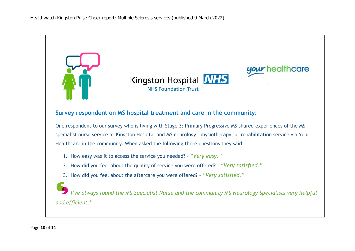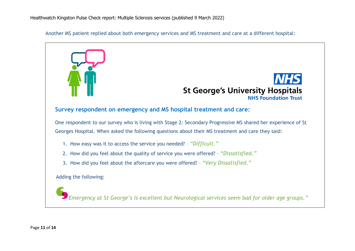Another MS patient replied about both emergency services and MS treatment and care at a different hospital:

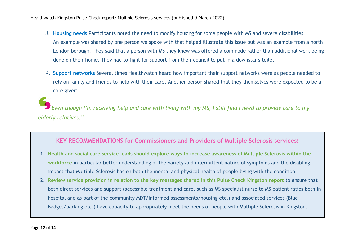Healthwatch Kingston Pulse Check report: Multiple Sclerosis services (published 9 March 2022)

- J. **Housing needs** Participants noted the need to modify housing for some people with MS and severe disabilities. An example was shared by one person we spoke with that helped illustrate this issue but was an example from a north London borough. They said that a person with MS they knew was offered a commode rather than additional work being done on their home. They had to fight for support from their council to put in a downstairs toilet.
- K. **Support networks** Several times Healthwatch heard how important their support networks were as people needed to rely on family and friends to help with their care. Another person shared that they themselves were expected to be a care giver:

*Even though I'm receiving help and care with living with my MS, I still find I need to provide care to my elderly relatives."*

#### **KEY RECOMMENDATIONS for Commissioners and Providers of Multiple Sclerosis services:**

- 1. **Health and social care service leads should explore ways to increase awareness of Multiple Sclerosis within the workforce** in particular better understanding of the variety and intermittent nature of symptoms and the disabling impact that Multiple Sclerosis has on both the mental and physical health of people living with the condition.
- 2. **Review service provision in relation to the key messages shared in this Pulse Check Kingston report** to ensure that both direct services and support (accessible treatment and care, such as MS specialist nurse to MS patient ratios both in hospital and as part of the community MDT/informed assessments/housing etc.) and associated services (Blue Badges/parking etc.) have capacity to appropriately meet the needs of people with Multiple Sclerosis in Kingston.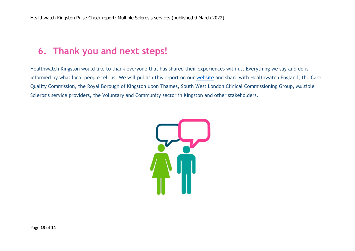### **6. Thank you and next steps!**

Healthwatch Kingston would like to thank everyone that has shared their experiences with us. Everything we say and do is informed by what local people tell us. We will publish this report on our [website](http://www.healthwatchkingston.org.uk/) and share with Healthwatch England, the Care Quality Commission, the Royal Borough of Kingston upon Thames, South West London Clinical Commissioning Group, Multiple Sclerosis service providers, the Voluntary and Community sector in Kingston and other stakeholders.